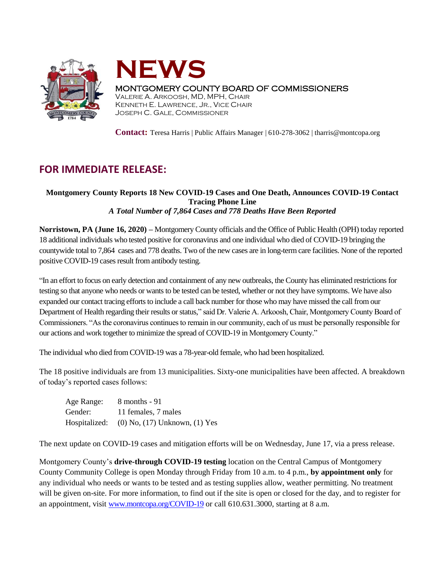



## MONTGOMERY COUNTY BOARD OF COMMISSIONERS

VALERIE A. ARKOOSH, MD, MPH, CHAIR KENNETH E. LAWRENCE, JR., VICE CHAIR JOSEPH C. GALE, COMMISSIONER

**Contact:** Teresa Harris | Public Affairs Manager | 610-278-3062 | tharris@montcopa.org

## **FOR IMMEDIATE RELEASE:**

## **Montgomery County Reports 18 New COVID-19 Cases and One Death, Announces COVID-19 Contact Tracing Phone Line** *A Total Number of 7,864 Cases and 778 Deaths Have Been Reported*

**Norristown, PA (June 16, 2020) –** Montgomery County officials and the Office of Public Health (OPH) today reported 18 additional individuals who tested positive for coronavirus and one individual who died of COVID-19 bringing the countywide total to 7,864 cases and 778 deaths. Two of the new cases are in long-term care facilities. None of the reported positive COVID-19 cases result from antibody testing.

"In an effort to focus on early detection and containment of any new outbreaks, the County has eliminated restrictionsfor testing so that anyone who needs or wants to be tested can be tested, whether or not they have symptoms. We have also expanded our contact tracing efforts to include a call back number for those who may have missed the call from our Department of Health regarding their results or status," said Dr. Valerie A. Arkoosh, Chair, Montgomery County Board of Commissioners. "As the coronavirus continues to remain in our community, each of us must be personally responsible for our actions and work together to minimize the spread of COVID-19 in Montgomery County."

The individual who died from COVID-19 was a 78-year-old female, who had been hospitalized.

The 18 positive individuals are from 13 municipalities. Sixty-one municipalities have been affected. A breakdown of today's reported cases follows:

| Age Range:    | 8 months - 91                       |
|---------------|-------------------------------------|
| Gender:       | 11 females, 7 males                 |
| Hospitalized: | $(0)$ No, $(17)$ Unknown, $(1)$ Yes |

The next update on COVID-19 cases and mitigation efforts will be on Wednesday, June 17, via a press release.

Montgomery County's **drive-through COVID-19 testing** location on the Central Campus of Montgomery County Community College is open Monday through Friday from 10 a.m. to 4 p.m., **by appointment only** for any individual who needs or wants to be tested and as testing supplies allow, weather permitting. No treatment will be given on-site. For more information, to find out if the site is open or closed for the day, and to register for an appointment, visit [www.montcopa.org/COVID-19](http://www.montcopa.org/COVID-19) or call 610.631.3000, starting at 8 a.m.